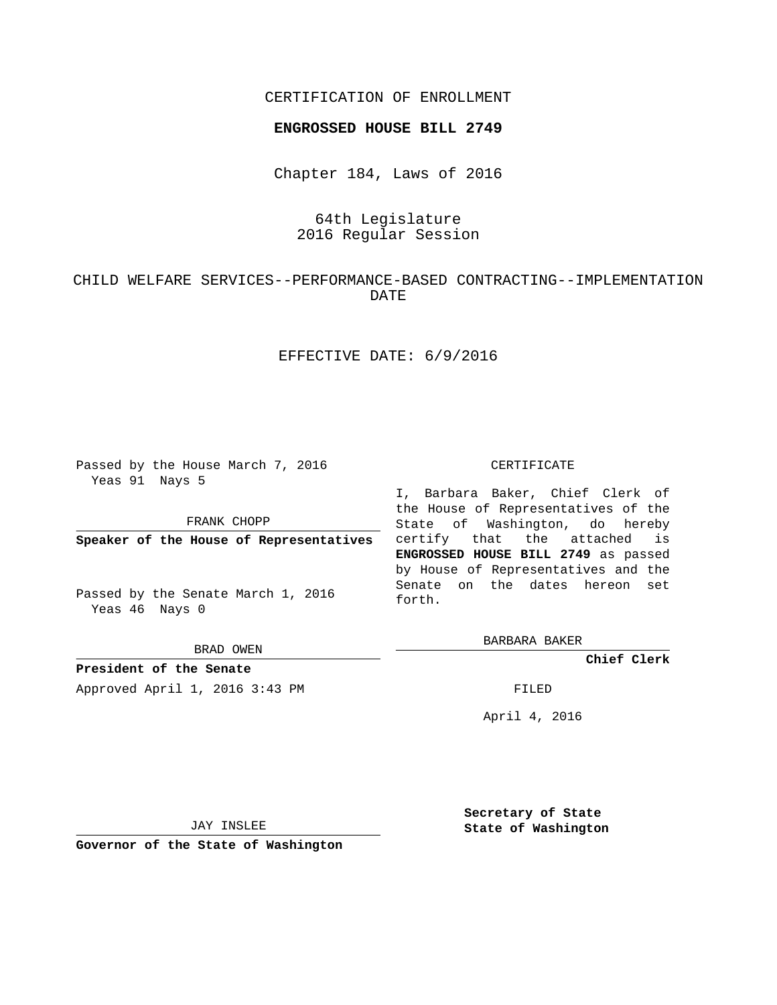### CERTIFICATION OF ENROLLMENT

#### **ENGROSSED HOUSE BILL 2749**

Chapter 184, Laws of 2016

## 64th Legislature 2016 Regular Session

## CHILD WELFARE SERVICES--PERFORMANCE-BASED CONTRACTING--IMPLEMENTATION DATE

## EFFECTIVE DATE: 6/9/2016

Passed by the House March 7, 2016 Yeas 91 Nays 5

FRANK CHOPP

**Speaker of the House of Representatives**

Passed by the Senate March 1, 2016 Yeas 46 Nays 0

BRAD OWEN

**President of the Senate**

Approved April 1, 2016 3:43 PM FILED

#### CERTIFICATE

I, Barbara Baker, Chief Clerk of the House of Representatives of the State of Washington, do hereby certify that the attached is **ENGROSSED HOUSE BILL 2749** as passed by House of Representatives and the Senate on the dates hereon set forth.

BARBARA BAKER

**Chief Clerk**

April 4, 2016

JAY INSLEE

**Governor of the State of Washington**

**Secretary of State State of Washington**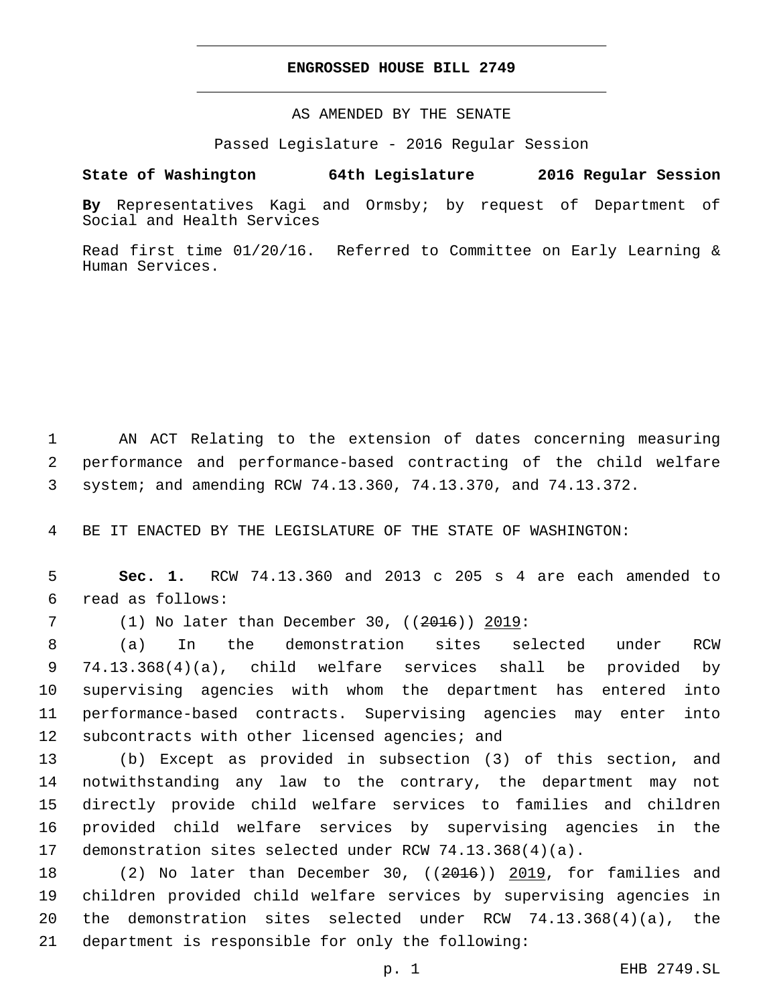#### **ENGROSSED HOUSE BILL 2749**

AS AMENDED BY THE SENATE

Passed Legislature - 2016 Regular Session

# **State of Washington 64th Legislature 2016 Regular Session**

**By** Representatives Kagi and Ormsby; by request of Department of Social and Health Services

Read first time 01/20/16. Referred to Committee on Early Learning & Human Services.

1 AN ACT Relating to the extension of dates concerning measuring 2 performance and performance-based contracting of the child welfare 3 system; and amending RCW 74.13.360, 74.13.370, and 74.13.372.

4 BE IT ENACTED BY THE LEGISLATURE OF THE STATE OF WASHINGTON:

5 **Sec. 1.** RCW 74.13.360 and 2013 c 205 s 4 are each amended to read as follows:6

7 (1) No later than December 30, ((2016)) 2019:

 (a) In the demonstration sites selected under RCW 74.13.368(4)(a), child welfare services shall be provided by supervising agencies with whom the department has entered into performance-based contracts. Supervising agencies may enter into 12 subcontracts with other licensed agencies; and

 (b) Except as provided in subsection (3) of this section, and notwithstanding any law to the contrary, the department may not directly provide child welfare services to families and children provided child welfare services by supervising agencies in the demonstration sites selected under RCW 74.13.368(4)(a).

18 (2) No later than December 30, ((2016)) 2019, for families and 19 children provided child welfare services by supervising agencies in 20 the demonstration sites selected under RCW 74.13.368(4)(a), the 21 department is responsible for only the following: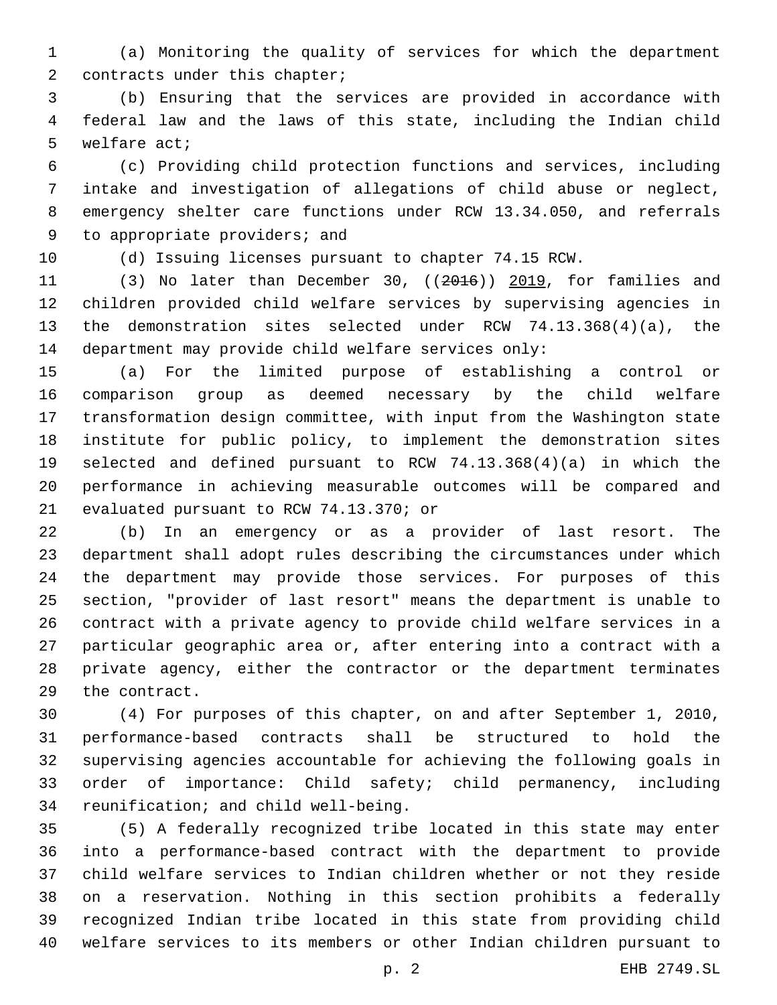(a) Monitoring the quality of services for which the department 2 contracts under this chapter;

 (b) Ensuring that the services are provided in accordance with federal law and the laws of this state, including the Indian child 5 welfare act;

 (c) Providing child protection functions and services, including intake and investigation of allegations of child abuse or neglect, emergency shelter care functions under RCW 13.34.050, and referrals 9 to appropriate providers; and

(d) Issuing licenses pursuant to chapter 74.15 RCW.

 (3) No later than December 30, ((2016)) 2019, for families and children provided child welfare services by supervising agencies in the demonstration sites selected under RCW 74.13.368(4)(a), the department may provide child welfare services only:

 (a) For the limited purpose of establishing a control or comparison group as deemed necessary by the child welfare transformation design committee, with input from the Washington state institute for public policy, to implement the demonstration sites selected and defined pursuant to RCW 74.13.368(4)(a) in which the performance in achieving measurable outcomes will be compared and 21 evaluated pursuant to RCW 74.13.370; or

 (b) In an emergency or as a provider of last resort. The department shall adopt rules describing the circumstances under which the department may provide those services. For purposes of this section, "provider of last resort" means the department is unable to contract with a private agency to provide child welfare services in a particular geographic area or, after entering into a contract with a private agency, either the contractor or the department terminates 29 the contract.

 (4) For purposes of this chapter, on and after September 1, 2010, performance-based contracts shall be structured to hold the supervising agencies accountable for achieving the following goals in order of importance: Child safety; child permanency, including 34 reunification; and child well-being.

 (5) A federally recognized tribe located in this state may enter into a performance-based contract with the department to provide child welfare services to Indian children whether or not they reside on a reservation. Nothing in this section prohibits a federally recognized Indian tribe located in this state from providing child welfare services to its members or other Indian children pursuant to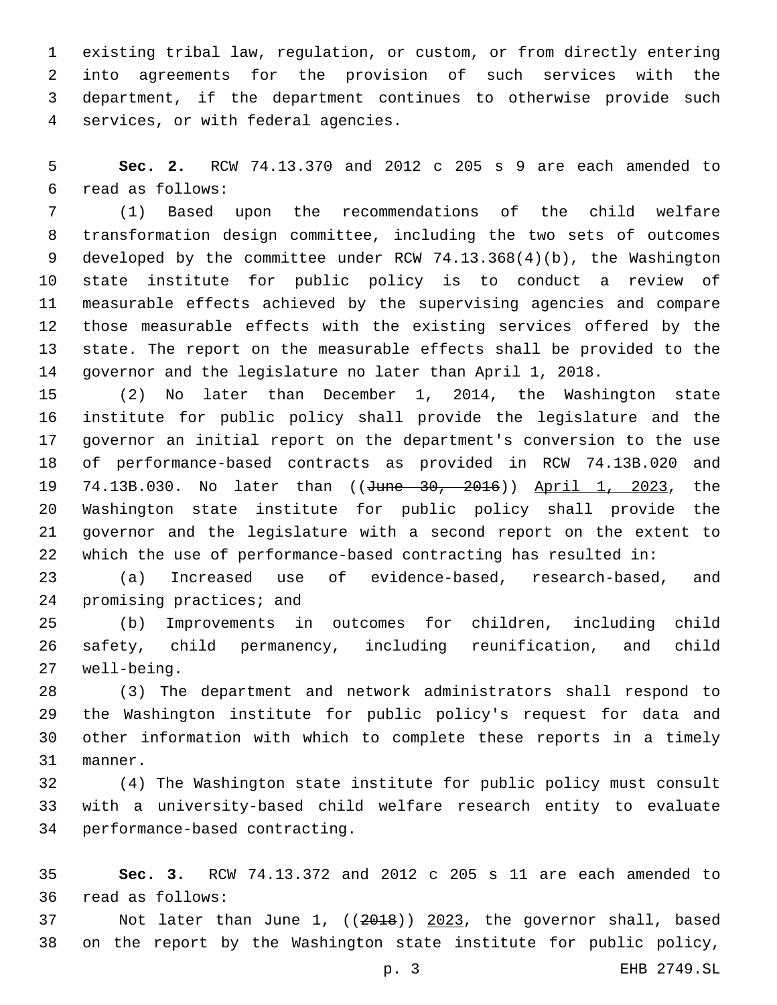existing tribal law, regulation, or custom, or from directly entering into agreements for the provision of such services with the department, if the department continues to otherwise provide such services, or with federal agencies.4

 **Sec. 2.** RCW 74.13.370 and 2012 c 205 s 9 are each amended to read as follows:6

 (1) Based upon the recommendations of the child welfare transformation design committee, including the two sets of outcomes developed by the committee under RCW 74.13.368(4)(b), the Washington state institute for public policy is to conduct a review of measurable effects achieved by the supervising agencies and compare those measurable effects with the existing services offered by the state. The report on the measurable effects shall be provided to the governor and the legislature no later than April 1, 2018.

 (2) No later than December 1, 2014, the Washington state institute for public policy shall provide the legislature and the governor an initial report on the department's conversion to the use of performance-based contracts as provided in RCW 74.13B.020 and 74.13B.030. No later than ((June 30, 2016)) April 1, 2023, the Washington state institute for public policy shall provide the governor and the legislature with a second report on the extent to which the use of performance-based contracting has resulted in:

 (a) Increased use of evidence-based, research-based, and 24 promising practices; and

 (b) Improvements in outcomes for children, including child safety, child permanency, including reunification, and child well-being.27

 (3) The department and network administrators shall respond to the Washington institute for public policy's request for data and other information with which to complete these reports in a timely 31 manner.

 (4) The Washington state institute for public policy must consult with a university-based child welfare research entity to evaluate 34 performance-based contracting.

 **Sec. 3.** RCW 74.13.372 and 2012 c 205 s 11 are each amended to 36 read as follows:

 Not later than June 1, ((2018)) 2023, the governor shall, based on the report by the Washington state institute for public policy,

p. 3 EHB 2749.SL